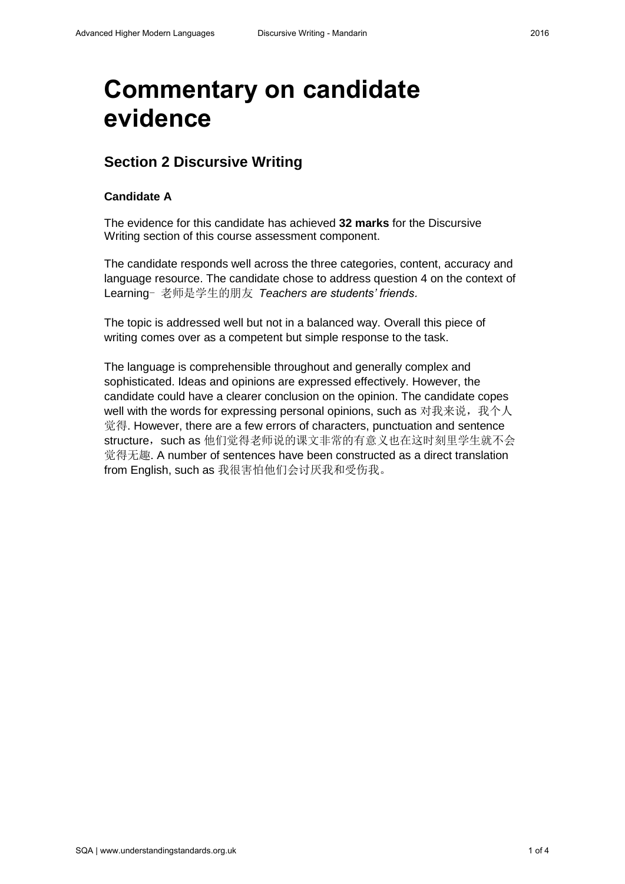# **Commentary on candidate evidence**

# **Section 2 Discursive Writing**

## **Candidate A**

The evidence for this candidate has achieved **32 marks** for the Discursive Writing section of this course assessment component.

The candidate responds well across the three categories, content, accuracy and language resource. The candidate chose to address question 4 on the context of Learning- 老师是学生的朋友 *Teachers are students' friends*.

The topic is addressed well but not in a balanced way. Overall this piece of writing comes over as a competent but simple response to the task.

The language is comprehensible throughout and generally complex and sophisticated. Ideas and opinions are expressed effectively. However, the candidate could have a clearer conclusion on the opinion. The candidate copes well with the words for expressing personal opinions, such as 对我来说, 我个人 觉得. However, there are a few errors of characters, punctuation and sentence structure, such as 他们觉得老师说的课文非常的有意义也在这时刻里学生就不会 觉得无趣. A number of sentences have been constructed as a direct translation from English, such as 我很害怕他们会讨厌我和受伤我。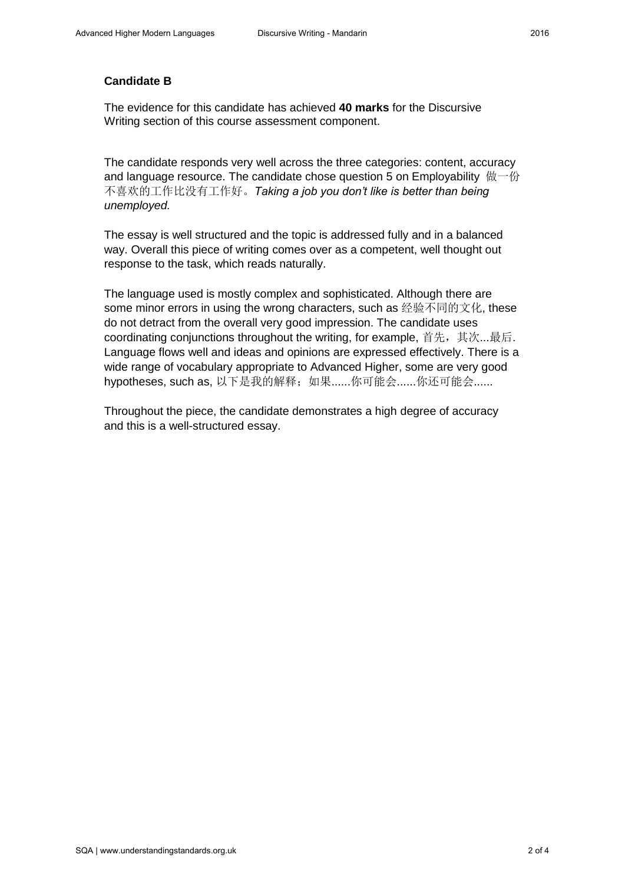## **Candidate B**

The evidence for this candidate has achieved **40 marks** for the Discursive Writing section of this course assessment component.

The candidate responds very well across the three categories: content, accuracy and language resource. The candidate chose question 5 on Employability  $\&\rightarrow\&\,$ 不喜欢的工作比没有工作好。*Taking a job you don't like is better than being unemployed.* 

The essay is well structured and the topic is addressed fully and in a balanced way. Overall this piece of writing comes over as a competent, well thought out response to the task, which reads naturally.

The language used is mostly complex and sophisticated. Although there are some minor errors in using the wrong characters, such as 经验不同的文化, these do not detract from the overall very good impression. The candidate uses coordinating conjunctions throughout the writing, for example, 首先, 其次...最后. Language flows well and ideas and opinions are expressed effectively. There is a wide range of vocabulary appropriate to Advanced Higher, some are very good hypotheses, such as, 以下是我的解释; 如果......你可能会.......你还可能会......

Throughout the piece, the candidate demonstrates a high degree of accuracy and this is a well-structured essay.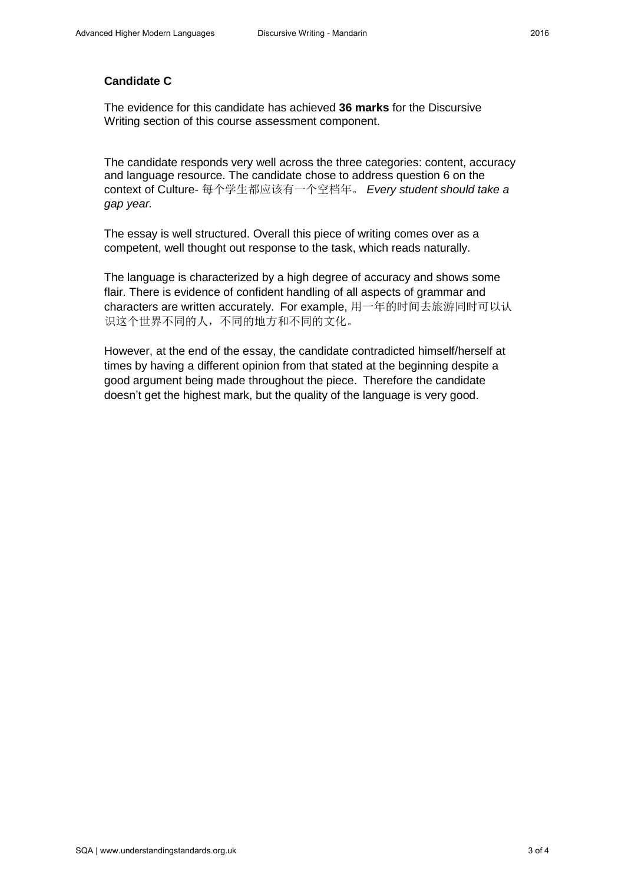#### **Candidate C**

The evidence for this candidate has achieved **36 marks** for the Discursive Writing section of this course assessment component.

The candidate responds very well across the three categories: content, accuracy and language resource. The candidate chose to address question 6 on the context of Culture- 每个学生都应该有一个空档年。 *Every student should take a gap year.* 

The essay is well structured. Overall this piece of writing comes over as a competent, well thought out response to the task, which reads naturally.

The language is characterized by a high degree of accuracy and shows some flair. There is evidence of confident handling of all aspects of grammar and characters are written accurately. For example, 用一年的时间去旅游同时可以认 识这个世界不同的人,不同的地方和不同的文化。

However, at the end of the essay, the candidate contradicted himself/herself at times by having a different opinion from that stated at the beginning despite a good argument being made throughout the piece. Therefore the candidate doesn't get the highest mark, but the quality of the language is very good.